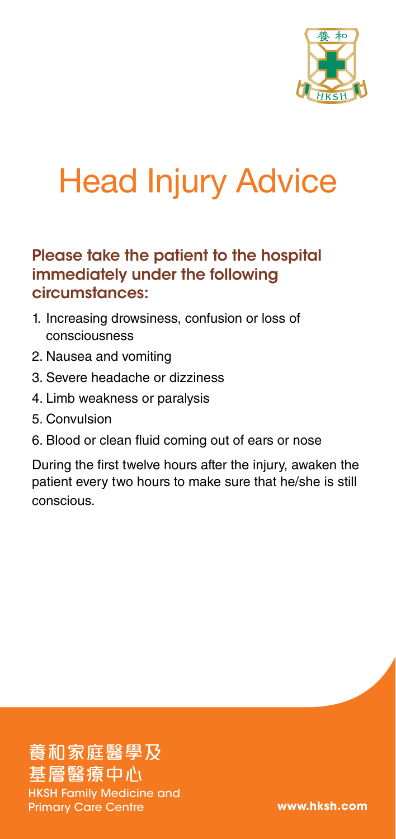

# Head Injury Advice

## Please take the patient to the hospital immediately under the following circumstances:

- 1. Increasing drowsiness, confusion or loss of consciousness
- 2. Nausea and vomiting
- 3. Severe headache or dizziness
- 4. Limb weakness or paralysis
- 5. Convulsion
- 6. Blood or clean fluid coming out of ears or nose

During the first twelve hours after the injury, awaken the patient every two hours to make sure that he/she is still conscious.

養和家庭醫學及 基層醫療中心 HKSH Family Medicine and Primary Care Centre